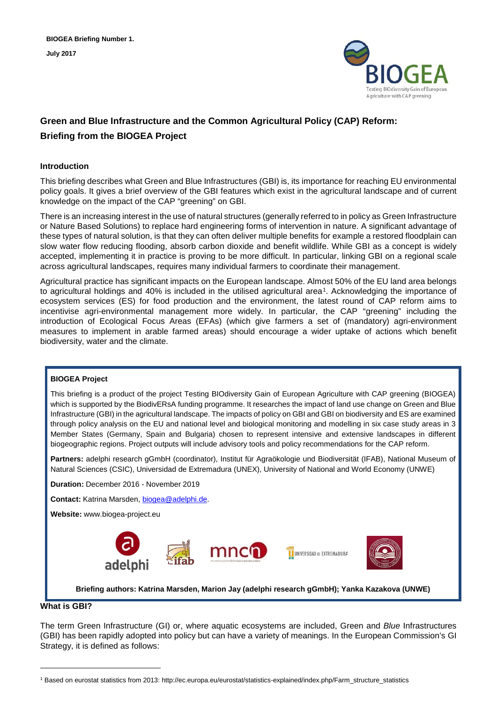

# **Green and Blue Infrastructure and the Common Agricultural Policy (CAP) Reform: Briefing from the BIOGEA Project**

## **Introduction**

This briefing describes what Green and Blue Infrastructures (GBI) is, its importance for reaching EU environmental policy goals. It gives a brief overview of the GBI features which exist in the agricultural landscape and of current knowledge on the impact of the CAP "greening" on GBI.

There is an increasing interest in the use of natural structures (generally referred to in policy as Green Infrastructure or Nature Based Solutions) to replace hard engineering forms of intervention in nature. A significant advantage of these types of natural solution, is that they can often deliver multiple benefits for example a restored floodplain can slow water flow reducing flooding, absorb carbon dioxide and benefit wildlife. While GBI as a concept is widely accepted, implementing it in practice is proving to be more difficult. In particular, linking GBI on a regional scale across agricultural landscapes, requires many individual farmers to coordinate their management.

Agricultural practice has significant impacts on the European landscape. Almost 50% of the EU land area belongs to agricultural holdings and 40% is included in the utilised agricultural area<sup>[1](#page-0-0)</sup>. Acknowledging the importance of ecosystem services (ES) for food production and the environment, the latest round of CAP reform aims to incentivise agri-environmental management more widely. In particular, the CAP "greening" including the introduction of Ecological Focus Areas (EFAs) (which give farmers a set of (mandatory) agri-environment measures to implement in arable farmed areas) should encourage a wider uptake of actions which benefit biodiversity, water and the climate.

#### **BIOGEA Project**

This briefing is a product of the project Testing BIOdiversity Gain of European Agriculture with CAP greening (BIOGEA) which is supported by the BiodivERsA funding programme. It researches the impact of land use change on Green and Blue Infrastructure (GBI) in the agricultural landscape. The impacts of policy on GBI and GBI on biodiversity and ES are examined through policy analysis on the EU and national level and biological monitoring and modelling in six case study areas in 3 Member States (Germany, Spain and Bulgaria) chosen to represent intensive and extensive landscapes in different biogeographic regions. Project outputs will include advisory tools and policy recommendations for the CAP reform.

**Partners:** adelphi research gGmbH (coordinator), Institut für Agraökologie und Biodiversität (IFAB), National Museum of Natural Sciences (CSIC), Universidad de Extremadura (UNEX), University of National and World Economy (UNWE)

**Duration:** December 2016 - November 2019

**Contact:** Katrina Marsden[, biogea@adelphi.de.](mailto:biogea@adelphi.de)

**Website:** www.biogea-project.eu



**Briefing authors: Katrina Marsden, Marion Jay (adelphi research gGmbH); Yanka Kazakova (UNWE)**

#### **What is GBI?**

j

The term Green Infrastructure (GI) or, where aquatic ecosystems are included, Green and *Blue* Infrastructures (GBI) has been rapidly adopted into policy but can have a variety of meanings. In the European Commission's GI Strategy, it is defined as follows:

<span id="page-0-0"></span><sup>1</sup> Based on eurostat statistics from 2013: http://ec.europa.eu/eurostat/statistics-explained/index.php/Farm\_structure\_statistics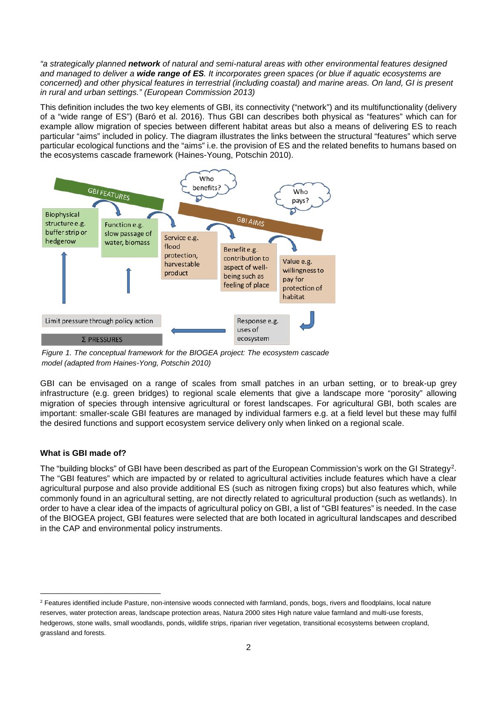*"a strategically planned network of natural and semi-natural areas with other environmental features designed and managed to deliver a wide range of ES. It incorporates green spaces (or blue if aquatic ecosystems are concerned) and other physical features in terrestrial (including coastal) and marine areas. On land, GI is present in rural and urban settings." (European Commission 2013)*

This definition includes the two key elements of GBI, its connectivity ("network") and its multifunctionality (delivery of a "wide range of ES") (Baró et al. 2016). Thus GBI can describes both physical as "features" which can for example allow migration of species between different habitat areas but also a means of delivering ES to reach particular "aims" included in policy. The diagram illustrates the links between the structural "features" which serve particular ecological functions and the "aims" i.e. the provision of ES and the related benefits to humans based on the ecosystems cascade framework (Haines-Young, Potschin 2010).



*Figure 1. The conceptual framework for the BIOGEA project: The ecosystem cascade model (adapted from Haines-Yong, Potschin 2010)*

GBI can be envisaged on a range of scales from small patches in an urban setting, or to break-up grey infrastructure (e.g. green bridges) to regional scale elements that give a landscape more "porosity" allowing migration of species through intensive agricultural or forest landscapes. For agricultural GBI, both scales are important: smaller-scale GBI features are managed by individual farmers e.g. at a field level but these may fulfil the desired functions and support ecosystem service delivery only when linked on a regional scale.

## **What is GBI made of?**

The "building blocks" of GBI have been described as part of the European Commission's work on the GI Strategy<sup>[2](#page-1-0)</sup>. The "GBI features" which are impacted by or related to agricultural activities include features which have a clear agricultural purpose and also provide additional ES (such as nitrogen fixing crops) but also features which, while commonly found in an agricultural setting, are not directly related to agricultural production (such as wetlands). In order to have a clear idea of the impacts of agricultural policy on GBI, a list of "GBI features" is needed. In the case of the BIOGEA project, GBI features were selected that are both located in agricultural landscapes and described in the CAP and environmental policy instruments.

<span id="page-1-0"></span><sup>&</sup>lt;sup>2</sup> Features identified include Pasture, non-intensive woods connected with farmland, ponds, bogs, rivers and floodplains, local nature reserves, water protection areas, landscape protection areas, Natura 2000 sites High nature value farmland and multi-use forests, hedgerows, stone walls, small woodlands, ponds, wildlife strips, riparian river vegetation, transitional ecosystems between cropland, grassland and forests.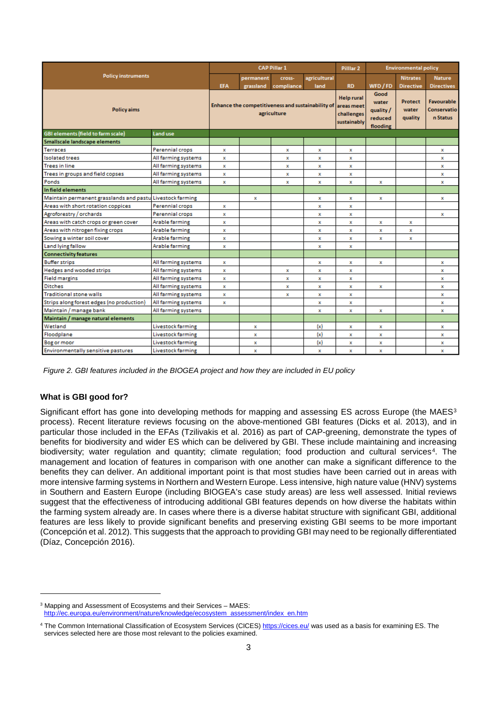|                                                           |                          |             |             | <b>CAP Pillar 1</b>                                              |             | Pilllar <sub>2</sub><br><b>RD</b><br><b>Help rural</b><br>challenges<br>x<br>x<br>$\mathbf x$<br>$\mathbf x$<br>x<br>x<br>x<br>x<br>x<br>x<br>$\mathbf{x}$<br>$\mathbf x$<br>x<br>x<br>$\mathbf{x}$<br>x<br>x<br>x<br>x<br>x<br>x<br>x<br>x<br>x |                                                   | <b>Environmental policy</b>        |                                              |  |
|-----------------------------------------------------------|--------------------------|-------------|-------------|------------------------------------------------------------------|-------------|--------------------------------------------------------------------------------------------------------------------------------------------------------------------------------------------------------------------------------------------------|---------------------------------------------------|------------------------------------|----------------------------------------------|--|
| <b>Policy instruments</b>                                 |                          | permanent   | Cross-      | agricultural                                                     |             |                                                                                                                                                                                                                                                  | <b>Nitrates</b>                                   | <b>Nature</b>                      |                                              |  |
|                                                           | <b>EFA</b>               | grassland   | compliance  | land                                                             |             | WFD / FD                                                                                                                                                                                                                                         | <b>Directive</b>                                  | <b>Directives</b>                  |                                              |  |
| <b>Policy aims</b>                                        |                          |             |             | Enhance the competitiveness and sustainability of<br>agriculture |             | areas meet<br>sustainably                                                                                                                                                                                                                        | Good<br>water<br>quality /<br>reduced<br>flooding | <b>Protect</b><br>water<br>quality | <b>Favourable</b><br>Conservatio<br>n Status |  |
| <b>GBI elements (field to farm scale)</b>                 | Land use                 |             |             |                                                                  |             |                                                                                                                                                                                                                                                  |                                                   |                                    |                                              |  |
| Smallscale landscape elements                             |                          |             |             |                                                                  |             |                                                                                                                                                                                                                                                  |                                                   |                                    |                                              |  |
| <b>Terraces</b>                                           | Perennial crops          | x           |             | x                                                                | x           |                                                                                                                                                                                                                                                  |                                                   |                                    | x                                            |  |
| <b>Isolated trees</b>                                     | All farming systems      | x           |             | x                                                                | x           |                                                                                                                                                                                                                                                  |                                                   |                                    | x                                            |  |
| <b>Trees in line</b>                                      | All farming systems      | x           |             | x                                                                | x           |                                                                                                                                                                                                                                                  |                                                   |                                    | x                                            |  |
| Trees in groups and field copses                          | All farming systems      | x           |             | x                                                                | $\mathbf x$ |                                                                                                                                                                                                                                                  |                                                   |                                    | $\mathbf x$                                  |  |
| Ponds                                                     | All farming systems      | x           |             | x                                                                | $\mathbf x$ |                                                                                                                                                                                                                                                  |                                                   |                                    | $\mathbf x$                                  |  |
| In field elements                                         |                          |             |             |                                                                  |             |                                                                                                                                                                                                                                                  |                                                   |                                    |                                              |  |
| Maintain permanent grasslands and pastu Livestock farming |                          |             | $\mathbf x$ |                                                                  | $\mathbf x$ |                                                                                                                                                                                                                                                  |                                                   |                                    | $\mathbf x$                                  |  |
| Areas with short rotation coppices                        | Perennial crops          | x           |             |                                                                  | x           |                                                                                                                                                                                                                                                  |                                                   |                                    |                                              |  |
| Agroforestry / orchards                                   | Perennial crops          | $\mathbf x$ |             |                                                                  | x           |                                                                                                                                                                                                                                                  |                                                   |                                    | $\mathbf x$                                  |  |
| Areas with catch crops or green cover                     | Arable farming           | x           |             |                                                                  | $\mathbf x$ |                                                                                                                                                                                                                                                  |                                                   | x                                  |                                              |  |
| Areas with nitrogen fixing crops                          | Arable farming           | x           |             |                                                                  | x           |                                                                                                                                                                                                                                                  |                                                   | x                                  |                                              |  |
| Sowing a winter soil cover                                | Arable farming           | x           |             |                                                                  | x           |                                                                                                                                                                                                                                                  |                                                   | x                                  |                                              |  |
| Land lying fallow                                         | Arable farming           | $\mathbf x$ |             |                                                                  | $\mathbf x$ |                                                                                                                                                                                                                                                  |                                                   |                                    |                                              |  |
| <b>Connectivity features</b>                              |                          |             |             |                                                                  |             |                                                                                                                                                                                                                                                  |                                                   |                                    |                                              |  |
| <b>Buffer strips</b>                                      | All farming systems      | x           |             |                                                                  | $\mathbf x$ |                                                                                                                                                                                                                                                  |                                                   |                                    | x                                            |  |
| Hedges and wooded strips                                  | All farming systems      | x           |             | x                                                                | $\mathbf x$ |                                                                                                                                                                                                                                                  |                                                   |                                    | $\mathbf{x}$                                 |  |
| <b>Field margins</b>                                      | All farming systems      | x           |             | x                                                                | x           |                                                                                                                                                                                                                                                  |                                                   |                                    | $\mathbf x$                                  |  |
| <b>Ditches</b>                                            | All farming systems      | x           |             | x                                                                | x           |                                                                                                                                                                                                                                                  |                                                   |                                    | $\mathbf x$                                  |  |
| <b>Traditional stone walls</b>                            | All farming systems      | $\mathbf x$ |             | x                                                                | x           |                                                                                                                                                                                                                                                  |                                                   |                                    | x                                            |  |
| Strips along forest edges (no production)                 | All farming systems      | x           |             |                                                                  | x           | x                                                                                                                                                                                                                                                |                                                   |                                    | $\mathbf x$                                  |  |
| Maintain / manage bank                                    | All farming systems      |             |             |                                                                  | x           | x                                                                                                                                                                                                                                                | x                                                 |                                    | x                                            |  |
| Maintain / manage natural elements                        |                          |             |             |                                                                  |             |                                                                                                                                                                                                                                                  |                                                   |                                    |                                              |  |
| Wetland                                                   | <b>Livestock farming</b> |             | x           |                                                                  | (x)         | x                                                                                                                                                                                                                                                | x                                                 |                                    | x                                            |  |
| Floodplane                                                | <b>Livestock farming</b> |             | x           |                                                                  | (x)         | x                                                                                                                                                                                                                                                | x                                                 |                                    | x                                            |  |
| <b>Bog or moor</b>                                        | <b>Livestock farming</b> |             | x           |                                                                  | (x)         | x                                                                                                                                                                                                                                                | x                                                 |                                    | x                                            |  |
| Environmentally sensitive pastures                        | <b>Livestock farming</b> |             | x           |                                                                  | x           | x                                                                                                                                                                                                                                                | x                                                 |                                    | x                                            |  |

*Figure 2. GBI features included in the BIOGEA project and how they are included in EU policy*

## **What is GBI good for?**

j

Significant effort has gone into developing methods for mapping and assessing ES across Europe (the MAES<sup>3</sup>) process). Recent literature reviews focusing on the above-mentioned GBI features (Dicks et al. 2013), and in particular those included in the EFAs (Tzilivakis et al. 2016) as part of CAP-greening, demonstrate the types of benefits for biodiversity and wider ES which can be delivered by GBI. These include maintaining and increasing biodiversity; water regulation and quantity; climate regulation; food production and cultural services<sup>[4](#page-2-1)</sup>. The management and location of features in comparison with one another can make a significant difference to the benefits they can deliver. An additional important point is that most studies have been carried out in areas with more intensive farming systems in Northern and Western Europe. Less intensive, high nature value (HNV) systems in Southern and Eastern Europe (including BIOGEA's case study areas) are less well assessed. Initial reviews suggest that the effectiveness of introducing additional GBI features depends on how diverse the habitats within the farming system already are. In cases where there is a diverse habitat structure with significant GBI, additional features are less likely to provide significant benefits and preserving existing GBI seems to be more important (Concepción et al. 2012). This suggests that the approach to providing GBI may need to be regionally differentiated (Díaz, Concepción 2016).

<span id="page-2-0"></span><sup>3</sup> Mapping and Assessment of Ecosystems and their Services – MAES: [http://ec.europa.eu/environment/nature/knowledge/ecosystem\\_assessment/index\\_en.htm](http://ec.europa.eu/environment/nature/knowledge/ecosystem_assessment/index_en.htm)

<span id="page-2-1"></span><sup>&</sup>lt;sup>4</sup> The Common International Classification of Ecosystem Services (CICES[\) https://cices.eu/](https://cices.eu/) was used as a basis for examining ES. The services selected here are those most relevant to the policies examined.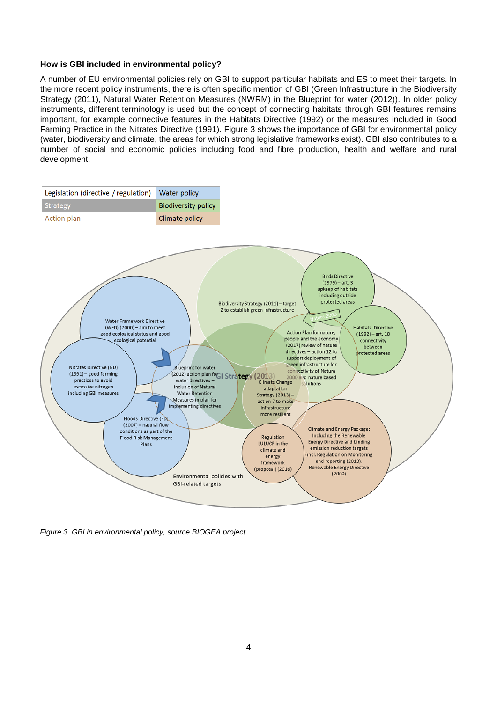#### **How is GBI included in environmental policy?**

A number of EU environmental policies rely on GBI to support particular habitats and ES to meet their targets. In the more recent policy instruments, there is often specific mention of GBI (Green Infrastructure in the Biodiversity Strategy (2011), Natural Water Retention Measures (NWRM) in the Blueprint for water (2012)). In older policy instruments, different terminology is used but the concept of connecting habitats through GBI features remains important, for example connective features in the Habitats Directive (1992) or the measures included in Good Farming Practice in the Nitrates Directive (1991). Figure 3 shows the importance of GBI for environmental policy (water, biodiversity and climate, the areas for which strong legislative frameworks exist). GBI also contributes to a number of social and economic policies including food and fibre production, health and welfare and rural development.



*Figure 3. GBI in environmental policy, source BIOGEA project*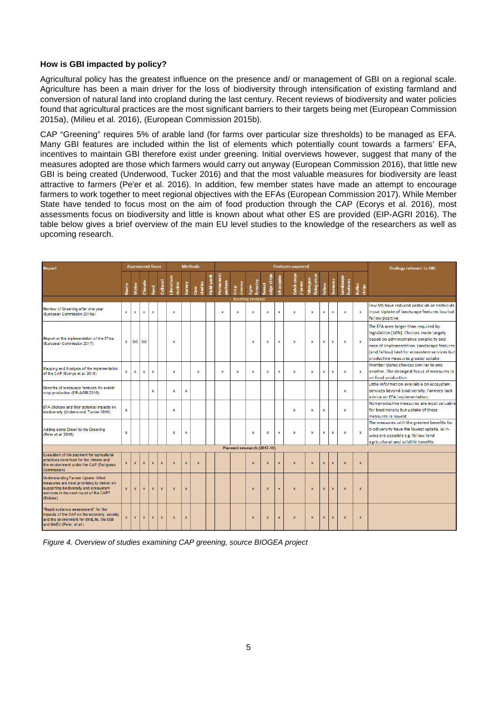#### **How is GBI impacted by policy?**

Agricultural policy has the greatest influence on the presence and/ or management of GBI on a regional scale. Agriculture has been a main driver for the loss of biodiversity through intensification of existing farmland and conversion of natural land into cropland during the last century. Recent reviews of biodiversity and water policies found that agricultural practices are the most significant barriers to their targets being met (European Commission 2015a), (Milieu et al. 2016), (European Commission 2015b).

CAP "Greening" requires 5% of arable land (for farms over particular size thresholds) to be managed as EFA. Many GBI features are included within the list of elements which potentially count towards a farmers' EFA, incentives to maintain GBI therefore exist under greening. Initial overviews however, suggest that many of the measures adopted are those which farmers would carry out anyway (European Commission 2016), that little new GBI is being created (Underwood, Tucker 2016) and that the most valuable measures for biodiversity are least attractive to farmers (Pe'er et al. 2016). In addition, few member states have made an attempt to encourage farmers to work together to meet regional objectives with the EFAs (European Commission 2017). While Member State have tended to focus most on the aim of food production through the CAP (Ecorys et al. 2016), most assessments focus on biodiversity and little is known about what other ES are provided (EIP-AGRI 2016). The table below gives a brief overview of the main EU level studies to the knowledge of the researchers as well as upcoming research.

| Report                                                                                                                                                                         |              |              | <b>Assessment focus</b> |              |              |                      |              | <b>Methods</b>  |            | <b>Features covererd</b> |                            |                         |                       |                   |                       |                                  |               |                 |                           |                  | <b>Findings relevant to GBI</b>                                                                                                                                                                                                                               |
|--------------------------------------------------------------------------------------------------------------------------------------------------------------------------------|--------------|--------------|-------------------------|--------------|--------------|----------------------|--------------|-----------------|------------|--------------------------|----------------------------|-------------------------|-----------------------|-------------------|-----------------------|----------------------------------|---------------|-----------------|---------------------------|------------------|---------------------------------------------------------------------------------------------------------------------------------------------------------------------------------------------------------------------------------------------------------------|
|                                                                                                                                                                                | Biodiv       | Water        | Climate                 | <b>L</b> ead | Cultural     | Literature<br>review | Survey       | studies<br>Case | Field work | Permanent<br>pasture     | diverse<br>និ              | forestry<br>Agre-       | edge strips<br>Forest | <b>SR</b> coppice | Catch crops<br>'cover | <b>fixing</b> crops<br>Nitrogen- | <b>Fallow</b> | <b>Terraces</b> | Landscape<br>features     | Buffer<br>strips |                                                                                                                                                                                                                                                               |
|                                                                                                                                                                                |              |              |                         |              |              |                      |              |                 |            |                          |                            | <b>Existing reviews</b> |                       |                   |                       |                                  |               |                 |                           |                  |                                                                                                                                                                                                                                                               |
| Review of Greening after one year<br>(European Commission 2016a)                                                                                                               | $\mathbf{x}$ | $\mathbf{x}$ | ×                       | $\mathbf x$  |              | x                    |              |                 |            | $\mathbf x$              | x                          | x                       | ×                     | $\mathbf{x}$      | ×                     | x                                | $\mathbf x$   | x               | $\mathbf x$               | $\mathbf{x}$     | Few MS have reduced pesticide or herbicide<br>input. Uptake of landscape features low but<br>fallow positive.                                                                                                                                                 |
| Report on the implementation of the EFAs<br>(European Commission 2017)                                                                                                         | ×            | (x)          | (x)                     |              |              | ×                    |              |                 |            |                          |                            | x                       | ×                     | $\mathbf x$       | $\mathbf{x}$          | x                                | $\mathbf x$   | x               | $\mathbf{x}$              | $\mathbf{x}$     | The EFA area larger than required by<br>legislation (10%). Choices made largely<br>based on administrative simplicity and<br>ease of implementation. Landscape features<br>(and fallow) best for ecosystem services but<br>productive measures greater uptake |
| Mapping and Analysis of the implementation<br>of the CAP (Ecorys et al. 2016)                                                                                                  | ×            | $\mathbf x$  | $\mathbf x$             | x            |              | x                    |              | $\mathbf x$     |            | x                        | x                          | x                       | ×                     | x                 | $\mathbf x$           | x                                | $\mathbf x$   | x               | $\boldsymbol{\mathsf{x}}$ | $\mathbf{x}$     | Member States choices similar to one<br>another. The strongest focus of measures is<br>on food production.                                                                                                                                                    |
| Benefits of landscape features for arable<br>crop production (EIP-AGRI 2016)                                                                                                   |              |              |                         | $\mathbf x$  |              | x                    | $\mathbf{x}$ |                 |            |                          |                            |                         |                       |                   |                       |                                  |               |                 | $\boldsymbol{\mathsf{x}}$ |                  | Little information available on ecosystem<br>services bevond biodiversity. Farmers lack<br>advice on EFA implementation.                                                                                                                                      |
| EFA choices and their potential impacts on<br>biodiversity (Underwood, Tucker 2016)                                                                                            | $\mathbf{x}$ |              |                         |              |              | x                    |              |                 |            |                          |                            |                         |                       |                   | x                     | $\mathbf x$                      | ×             |                 | $\mathbf{x}$              |                  | Non-productive measures are most valuable<br>for biodiversity but uptake of these<br>measures is lowest.                                                                                                                                                      |
| Adding some Green to the Greening<br>(Pe'er et al. 2016)                                                                                                                       | $\mathbf{x}$ |              |                         |              |              | $\mathbf x$          | $\mathbf x$  |                 |            |                          |                            | $\mathbf x$             | x                     | $\mathbf{x}$      | $\mathbf{x}$          | x                                | x             | x               | $\mathbf{x}$              | $\mathbf{x}$     | The measures with the greatest benefits for<br>biodiversity have the lowest uptake. Win-<br>wins are possible e.g. fallow land<br>agricultural and wildlife benefits.                                                                                         |
|                                                                                                                                                                                |              |              |                         |              |              |                      |              |                 |            |                          | Planned research (2017-18) |                         |                       |                   |                       |                                  |               |                 |                           |                  |                                                                                                                                                                                                                                                               |
| Evaluation of the payment for agricultural<br>practices beneficial for the climate and<br>the environment under the CAP (European<br>Commission)                               | $\mathbf{x}$ | $\mathbf{x}$ | $\mathbf{x}$            | $\mathbf{x}$ | $\bar{x}$    | $\mathbf{x}$         | $\mathbf{x}$ | $\mathbf{x}$    |            |                          |                            | $\mathbf{x}$            | x                     | $\mathbf{x}$      | $\mathbf{x}$          | $\overline{\mathbf{x}}$          | $\mathbf{x}$  | $\mathbf{x}$    | $\boldsymbol{\mathsf{x}}$ | $\mathbf{x}$     |                                                                                                                                                                                                                                                               |
| Understanding Farmer Uptake: What<br>measures are most promising to deliver on<br>supporting biodiversity and ecosystem<br>services in the next round of the CAP?<br>(Eklipse) | $\mathbf{x}$ | $\mathbf x$  | $\mathbf x$             | $\mathbf{x}$ | $\mathbf{x}$ | $\mathbf{x}$         | $\mathbf{x}$ |                 |            |                          |                            | $\mathbf{x}$            | $\mathbf{x}$          | $\mathbf{x}$      | $\mathbf{x}$          | $\mathbf{x}$                     | $\mathbf{x}$  | $\mathbf{x}$    | $\mathbf{x}$              | $\mathbf{x}$     |                                                                                                                                                                                                                                                               |
| "Rapid evidence assessment" for the<br>impacts of the CAP on the economy, society<br>and the environment for BirdLife, the EEB<br>and NABU (Pe'er, et al.)                     | $\mathbf x$  | $\mathbf x$  | $\mathbf x$             | $\mathbf x$  | $\mathbf{x}$ | $\mathbf x$          | $\mathbf x$  |                 |            |                          |                            | $\mathbf x$             | $\mathbf x$           | $\mathbf{x}$      | $\mathbf{x}$          | $\mathbf x$                      | $\mathbf x$   | x               | $\mathbf{x}$              | $\mathbf{x}$     |                                                                                                                                                                                                                                                               |

*Figure 4. Overview of studies examining CAP greening, source BIOGEA project*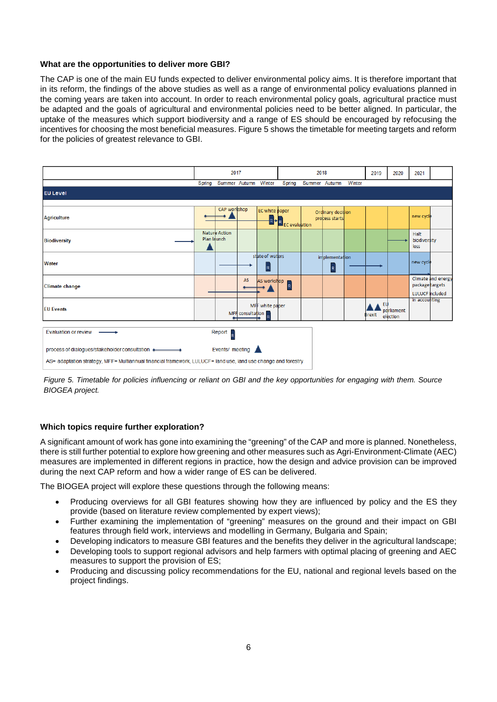#### **What are the opportunities to deliver more GBI?**

The CAP is one of the main EU funds expected to deliver environmental policy aims. It is therefore important that in its reform, the findings of the above studies as well as a range of environmental policy evaluations planned in the coming years are taken into account. In order to reach environmental policy goals, agricultural practice must be adapted and the goals of agricultural and environmental policies need to be better aligned. In particular, the uptake of the measures which support biodiversity and a range of ES should be encouraged by refocusing the incentives for choosing the most beneficial measures. Figure 5 shows the timetable for meeting targets and reform for the policies of greatest relevance to GBI.





## **Which topics require further exploration?**

A significant amount of work has gone into examining the "greening" of the CAP and more is planned. Nonetheless, there is still further potential to explore how greening and other measures such as Agri-Environment-Climate (AEC) measures are implemented in different regions in practice, how the design and advice provision can be improved during the next CAP reform and how a wider range of ES can be delivered.

The BIOGEA project will explore these questions through the following means:

- Producing overviews for all GBI features showing how they are influenced by policy and the ES they provide (based on literature review complemented by expert views);
- Further examining the implementation of "greening" measures on the ground and their impact on GBI features through field work, interviews and modelling in Germany, Bulgaria and Spain;
- Developing indicators to measure GBI features and the benefits they deliver in the agricultural landscape;
- Developing tools to support regional advisors and help farmers with optimal placing of greening and AEC measures to support the provision of ES;
- Producing and discussing policy recommendations for the EU, national and regional levels based on the project findings.